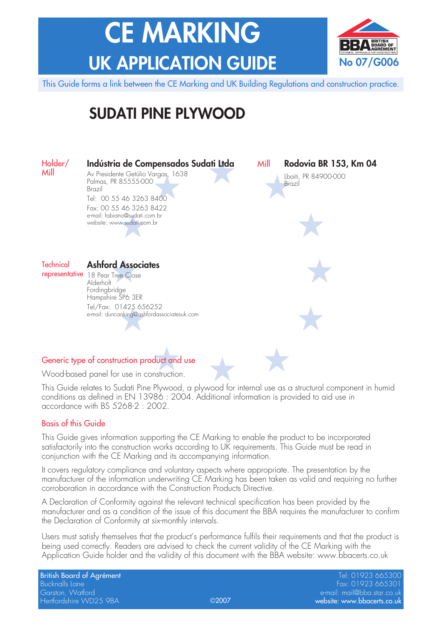# **CE MARKING UK APPLICATION GUIDE**



This Guide forms a link between the CE Marking and UK Building Regulations and construction practice.

## **SUDATI PINE PLYWOOD**



Wood-based panel for use in construction.

This Guide relates to Sudati Pine Plywood, a plywood for internal use as a structural component in humid conditions as defined in EN 13986 : 2004. Additional information is provided to aid use in accordance with BS 5268-2 : 2002.

#### Basis of this Guide

This Guide gives information supporting the CE Marking to enable the product to be incorporated satisfactorily into the construction works according to UK requirements. This Guide must be read in conjunction with the CE Marking and its accompanying information.

It covers regulatory compliance and voluntary aspects where appropriate. The presentation by the manufacturer of the information underwriting CE Marking has been taken as valid and requiring no further corroboration in accordance with the Construction Products Directive.

A Declaration of Conformity against the relevant technical specification has been provided by the manufacturer and as a condition of the issue of this document the BBA requires the manufacturer to confirm the Declaration of Conformity at six-monthly intervals.

Users must satisfy themselves that the product's performance fulfils their requirements and that the product is being used correctly. Readers are advised to check the current validity of the CE Marking with the Application Guide holder and the validity of this document with the BBA website: www.bbacerts.co.uk

British Board of Agrément New York (1992) 665300 (1992) 865300 (1992) 865300 (1992) 865300 (1992) 865300 (1992) Bucknalls Lane Fax: 01923 665301 Garston, Watford e-mail: mail@bba.star.co.uk Hertfordshire WD25 9BA website: www.bbacerts.co.uk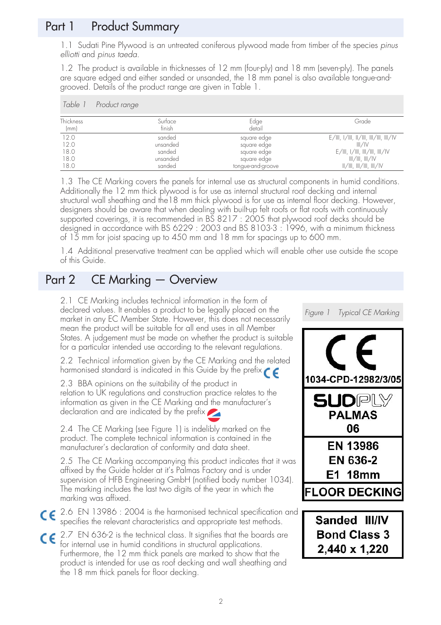## Part 1 Product Summary

1.1 Sudati Pine Plywood is an untreated coniferous plywood made from timber of the species pinus elliotti and pinus taeda.

1.2 The product is available in thicknesses of 12 mm (four-ply) and 18 mm (seven-ply). The panels are square edged and either sanded or unsanded, the 18 mm panel is also available tongue-andgrooved. Details of the product range are given in Table 1.

| Table            | Product range |                   |                                                                       |
|------------------|---------------|-------------------|-----------------------------------------------------------------------|
| <b>Thickness</b> | Surface       | Edge              | Grade                                                                 |
| (mm)             | finish        | detail            |                                                                       |
| 12.0             | sanded        | square edge       | $E/III$ , 1/111, 11/111, 111/111, 111/1V                              |
| 12.0             | unsanded      | square edge       | III/IV                                                                |
| 18.0             | sanded        | square edge       | $E/III$ , 1/III, III/III, III/IV                                      |
| 18.0             | unsanded      | square edge       | III/III, III/IV                                                       |
| 18.0             | sanded        | tonque-and-groove | $\parallel/\parallel$ , $\parallel/\parallel$ , $\parallel/\parallel$ |

1.3 The CE Marking covers the panels for internal use as structural components in humid conditions. Additionally the 12 mm thick plywood is for use as internal structural roof decking and internal structural wall sheathing and the18 mm thick plywood is for use as internal floor decking. However, designers should be aware that when dealing with built-up felt roofs or flat roofs with continuously supported coverings, it is recommended in BS 8217 : 2005 that plywood roof decks should be designed in accordance with BS 6229 : 2003 and BS 8103-3 : 1996, with a minimum thickness of 15 mm for joist spacing up to 450 mm and 18 mm for spacings up to 600 mm.

1.4 Additional preservative treatment can be applied which will enable other use outside the scope of this Guide.

## Part 2 CE Marking — Overview

2.1 CE Marking includes technical information in the form of declared values. It enables a product to be legally placed on the market in any EC Member State. However, this does not necessarily mean the product will be suitable for all end uses in all Member States. A judgement must be made on whether the product is suitable for a particular intended use according to the relevant regulations.

2.2 Technical information given by the CE Marking and the related harmonised standard is indicated in this Guide by the prefix  $\epsilon$ 

2.3 BBA opinions on the suitability of the product in relation to UK regulations and construction practice relates to the information as given in the CE Marking and the manufacturer's declaration and are indicated by the prefix

2.4 The CE Marking (see Figure 1) is indelibly marked on the product. The complete technical information is contained in the manufacturer's declaration of conformity and data sheet.

2.5 The CE Marking accompanying this product indicates that it was affixed by the Guide holder at it's Palmas Factory and is under supervision of HFB Engineering GmbH (notified body number 1034). The marking includes the last two digits of the year in which the marking was affixed.

- 2.6 EN 13986 : 2004 is the harmonised technical specification and specifies the relevant characteristics and appropriate test methods.
- 2.7 EN 636-2 is the technical class. It signifies that the boards are for internal use in humid conditions in structural applications. Furthermore, the 12 mm thick panels are marked to show that the product is intended for use as roof decking and wall sheathing and the 18 mm thick panels for floor decking.

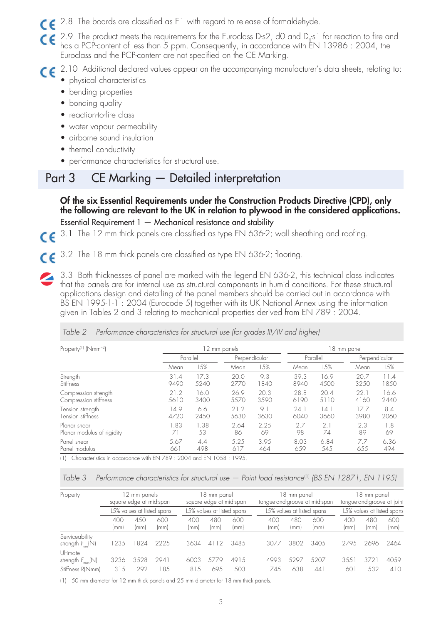2.8 The boards are classified as E1 with regard to release of formaldehyde.

 $\mathsf{CE}$  2.9 The product meets the requirements for the Euroclass D-s2, d0 and D<sub>fi</sub>-s1 for reaction to fire and has a PCP-content of less than 5 ppm. Consequently, in accordance with EN 13986 : 2004, the Euroclass and the PCP-content are not specified on the CE Marking.

2.10 Additional declared values appear on the accompanying manufacturer's data sheets, relating to:

- physical characteristics
- bending properties
- bonding quality
- reaction-to-fire class
- water vapour permeability
- airborne sound insulation
- thermal conductivity
- performance characteristics for structural use.

## Part 3 CE Marking — Detailed interpretation

**Of the six Essential Requirements under the Construction Products Directive (CPD), only the following are relevant to the UK in relation to plywood in the considered applications.** Essential Requirement 1 — Mechanical resistance and stability

3.1 The 12 mm thick panels are classified as type EN 636-2; wall sheathing and roofing.  $\epsilon$ 

3.2 The 18 mm thick panels are classified as type EN 636-2; flooring.  $\epsilon$ 

3.3 Both thicknesses of panel are marked with the legend EN 636-2, this technical class indicates that the panels are for internal use as structural components in humid conditions. For these structural applications design and detailing of the panel members should be carried out in accordance with BS EN 1995-1-1 : 2004 (Eurocode 5) together with its UK National Annex using the information given in Tables 2 and 3 relating to mechanical properties derived from EN 789 : 2004.

| 12 mm panels |      |               |      |          | 18 mm panel |               |      |  |  |
|--------------|------|---------------|------|----------|-------------|---------------|------|--|--|
| Parallel     |      | Perpendicular |      | Parallel |             | Perpendicular |      |  |  |
| Mean         | L5%  | Mean          | L5%  | Mean     | L5%         | Mean          | L5%  |  |  |
| 31.4         | 17.3 | 20.0          | 9.3  | 39.3     | 16.9        | 20.7          | 11.4 |  |  |
| 9490         | 5240 | 2770          | 1840 | 8940     | 4500        | 3250          | 1850 |  |  |
| 21.2         | 16.0 | 26.9          | 20.3 | 28.8     | 20.4        | 22.1          | 16.6 |  |  |
| 5610         | 3400 | 5570          | 3590 | 6190     | 5110        | 4160          | 2440 |  |  |
| 14.9         | 6.6  | 21.2          | 9.1  | 24.1     | 14.1        | 17.7          | 8.4  |  |  |
| 4720         | 2450 | 5630          | 3630 | 6040     | 3660        | 3980          | 2060 |  |  |
| .83          | 1.38 | 2.64          | 2.25 | 2.7      | 2.1         | 2.3           | 1.8  |  |  |
| 71           | 53   | 86            | 69   | 98       | 74          | 89            | 69   |  |  |
| 5.67         | 4.4  | 5.25          | 3.95 | 8.03     | 6.84        | 7.7           | 6.36 |  |  |
| 661          | 498  | 617           | 464  | 659      | 545         | 655           | 494  |  |  |
|              |      |               |      |          |             |               |      |  |  |

|  | Table 2 Performance characteristics for structural use (for grades III/IV and higher) |  |  |  |  |
|--|---------------------------------------------------------------------------------------|--|--|--|--|
|  |                                                                                       |  |  |  |  |

Table 3 Performance characteristics for structural use  $-$  Point load resistance<sup>(1)</sup> (BS EN 12871, EN 1195)

| Property                                        | 12 mm panels<br>square edge at mid-span |                            |             |             | 18 mm panel<br>square edge at mid-span |             | 18 mm panel<br>tongue-and-groove at mid-span |                            |             | 18 mm panel<br>tongue-and-groove at joint |                            |             |
|-------------------------------------------------|-----------------------------------------|----------------------------|-------------|-------------|----------------------------------------|-------------|----------------------------------------------|----------------------------|-------------|-------------------------------------------|----------------------------|-------------|
|                                                 |                                         | L5% values at listed spans |             |             | L5% values at listed spans             |             |                                              | L5% values at listed spans |             |                                           | L5% values at listed spans |             |
|                                                 | 400<br>(mm)                             | 450<br>(mm)                | 600<br>(mm) | 400<br>(mm) | 480<br>(mm)                            | 600<br>(mm) | 400<br>(mm)                                  | 480<br>(mm)                | 600<br>(mm) | 40C<br>(mm)                               | 480<br>(mm)                | 600<br>(mm) |
| Serviceability<br>strength $F_{\text{use}}(N)$  | 1235                                    | 824                        | 2225        | 3634        | 12<br>$\overline{4}$                   | 3485        | 3077                                         | 3802                       | 340.5       | 2795                                      | 2696                       | 2464        |
| <b>Ultimate</b><br>strength $F_{\text{max}}(N)$ | 3236                                    | 3528                       | 2941        | 6003        | 5779                                   | 4915        | 4993                                         | 5297                       | 5207        | 355                                       | 372 <sup>1</sup>           | 40.59       |
| Stiffness R(Nmm)                                | 315                                     | 292                        | 185         | 815         | 695                                    | 503         | 745                                          | 638                        | 441         | 60                                        | 532                        | 410         |

(1) 50 mm diameter for 12 mm thick panels and 25 mm diameter for 18 mm thick panels.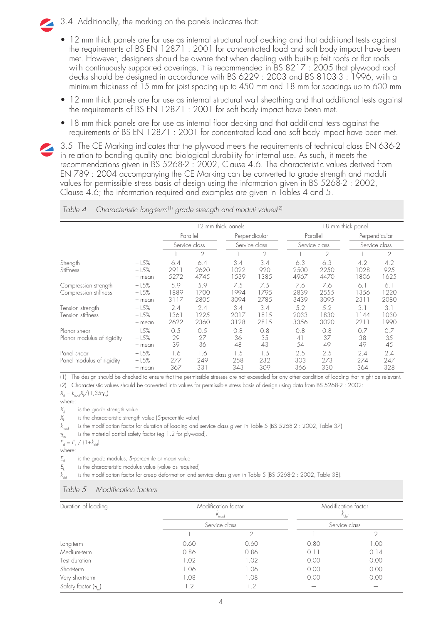- 3.4 Additionally, the marking on the panels indicates that:
- 12 mm thick panels are for use as internal structural roof decking and that additional tests against the requirements of BS EN 12871 : 2001 for concentrated load and soft body impact have been met. However, designers should be aware that when dealing with built-up felt roofs or flat roofs with continuously supported coverings, it is recommended in BS 8217 : 2005 that plywood roof decks should be designed in accordance with BS 6229 : 2003 and BS 8103-3 : 1996, with a minimum thickness of 15 mm for joist spacing up to 450 mm and 18 mm for spacings up to 600 mm
- 12 mm thick panels are for use as internal structural wall sheathing and that additional tests against the requirements of BS EN 12871 : 2001 for soft body impact have been met.
- 18 mm thick panels are for use as internal floor decking and that additional tests against the requirements of BS EN 12871 : 2001 for concentrated load and soft body impact have been met.
- 3.5 The CE Marking indicates that the plywood meets the requirements of technical class EN 636-2 in relation to bonding quality and biological durability for internal use. As such, it meets the recommendations given in BS 5268-2 : 2002, Clause 4.6. The characteristic values derived from EN 789 : 2004 accompanying the CE Marking can be converted to grade strength and moduli values for permissible stress basis of design using the information given in BS 5268-2 : 2002,

Clause 4.6; the information required and examples are given in Tables 4 and 5.

|                                               |                              |                     |                     | 12 mm thick panels  |                     | 18 mm thick panel   |                     |                                |                     |  |
|-----------------------------------------------|------------------------------|---------------------|---------------------|---------------------|---------------------|---------------------|---------------------|--------------------------------|---------------------|--|
|                                               |                              |                     | Parallel            |                     | Perpendicular       |                     | Parallel            | Perpendicular<br>Service class |                     |  |
|                                               |                              |                     | Service class       |                     | Service class       |                     | Service class       |                                |                     |  |
|                                               |                              |                     | $\overline{2}$      |                     | 2                   |                     | $\overline{2}$      |                                | 2                   |  |
| Strength<br><b>Stiffness</b>                  | $-15%$<br>$-15%$<br>$-$ mean | 6.4<br>2911<br>5272 | 6.4<br>2620<br>4745 | 3.4<br>1022<br>1539 | 3.4<br>920<br>1385  | 6.3<br>2500<br>4967 | 6.3<br>2250<br>4470 | 4.2<br>1028<br>1806            | 4.2<br>925<br>1625  |  |
| Compression strength<br>Compression stiffness | $-15%$<br>$-15%$<br>$-$ mean | 5.9<br>889<br>3117  | 5.9<br>1700<br>2805 | 7.5<br>1994<br>3094 | 7.5<br>1795<br>2785 | 7.6<br>2839<br>3439 | 7.6<br>2555<br>3095 | 6.1<br>1356<br>2311            | 6.1<br>1220<br>2080 |  |
| Tension strength<br>Tension stiffness         | $-15%$<br>$-15%$<br>$-$ mean | 2.4<br>361<br>2622  | 2.4<br>1225<br>2360 | 3.4<br>2017<br>3128 | 3.4<br>815<br>2815  | 5.2<br>2033<br>3356 | 5.2<br>1830<br>3020 | $3^{\circ}$<br>1144<br>2211    | 3.1<br>1030<br>1990 |  |
| Planar shear<br>Planar modulus of rigidity    | $-15%$<br>$-15%$<br>$-$ mean | 0.5<br>29<br>39     | 0.5<br>27<br>36     | 0.8<br>36<br>48     | 0.8<br>35<br>43     | 0.8<br>41<br>54     | 0.8<br>37<br>49     | 0.7<br>38<br>49                | 0.7<br>35<br>45     |  |
| Panel shear<br>Panel modulus of rigidity      | $-15%$<br>$-15%$<br>$-$ mean | 1.6<br>277<br>367   | 1.6<br>249<br>331   | 1.5<br>258<br>343   | 1.5<br>232<br>309   | 2.5<br>303<br>366   | 2.5<br>273<br>330   | 2.4<br>274<br>364              | 2.4<br>247<br>328   |  |

Table 4 Characteristic long-term<sup>(1)</sup> grade strength and moduli values<sup>(2)</sup>

(1) The design should be checked to ensure that the permissible stresses are not exceeded for any other condition of loading that might be relevant.

(2) Characteristic values should be converted into values for permissible stress basis of design using data from BS 5268-2 : 2002:

 $X_{d} = k_{mod}X_{k}/(1,35\gamma_{m})$ 

where:  $X_d$  is the grade strength value

 $X_k$  is the characteristic strength value (5-percentile value)<br> $k_{\text{mod}}$  is the modification factor for duration of loading and is the modification factor for duration of loading and service class given in Table 5 (BS 5268-2 : 2002, Table 37)

 $\gamma_{m}$ is the material partial safety factor (eg 1.2 for plywood).

 $E_{\rm d} = E_{\rm k} / (1 + k_{\rm dof})$ where:

 $E<sub>d</sub>$  is the grade modulus, 5-percentile or mean value<br> $E<sub>L</sub>$  is the characteristic modulus value (value as requi

 $\overline{E_k}$  is the characteristic modulus value (value as required)<br> $k_{\text{obs}}$  is the modification factor for creep deformation and s is the modification factor for creep deformation and service class given in Table 5 (BS 5268-2 : 2002, Table 38).

#### Table 5 Modification factors

| Duration of loading        |                              | Modification factor<br>$K_{\text{mod}}$ |               | Modification factor<br>$k_{\text{def}}$ |  |
|----------------------------|------------------------------|-----------------------------------------|---------------|-----------------------------------------|--|
|                            |                              | Service class                           | Service class |                                         |  |
|                            |                              |                                         |               |                                         |  |
| Long-term                  | 0.60                         | 0.60                                    | 0.80          | 1.00                                    |  |
| Medium-term                | 0.86                         | 0.86                                    | 0.11          | 0.14                                    |  |
| Test duration              | 1.02                         | 1.02                                    | 0.00          | 0.00                                    |  |
| Short-term                 | 1.06                         | 1.06                                    | 0.00          | 0.00                                    |  |
| Very short-term            | 1.08                         | 1.08                                    | 0.00          | 0.00                                    |  |
| Safety factor $(\gamma_m)$ | $\overline{\phantom{0}}$ . 2 | 1.2                                     |               |                                         |  |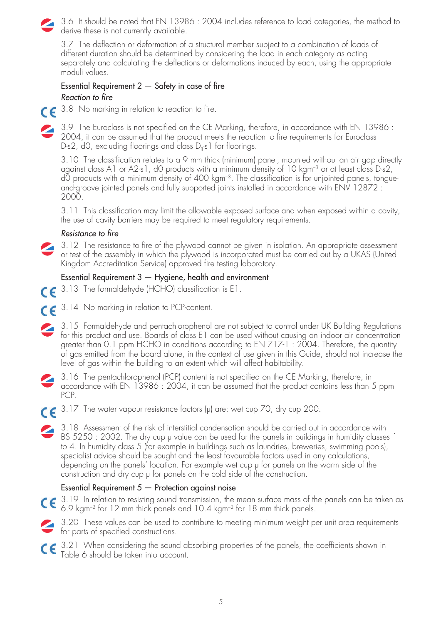3.6 It should be noted that EN 13986 : 2004 includes reference to load categories, the method to derive these is not currently available.

3.7 The deflection or deformation of a structural member subject to a combination of loads of different duration should be determined by considering the load in each category as acting separately and calculating the deflections or deformations induced by each, using the appropriate moduli values.

#### Essential Requirement  $2 -$  Safety in case of fire Reaction to fire



3.8 No marking in relation to reaction to fire.

3.9 The Euroclass is not specified on the CE Marking, therefore, in accordance with EN 13986 : 2004, it can be assumed that the product meets the reaction to fire requirements for Euroclass D-s2, d0, excluding floorings and class  $D_{\rm fl}$ -s1 for floorings.

3.10 The classification relates to a 9 mm thick (minimum) panel, mounted without an air gap directly against class A1 or A2-s1, d0 products with a minimum density of 10 kgm–3 or at least class D-s2, dO products with a minimum density of 400 kgm<sup>-3</sup>. The classification is for unjointed panels, tongueand-groove jointed panels and fully supported joints installed in accordance with ENV 12872 : 2000.

3.11 This classification may limit the allowable exposed surface and when exposed within a cavity, the use of cavity barriers may be required to meet regulatory requirements.

#### Resistance to fire

3.12 The resistance to fire of the plywood cannot be given in isolation. An appropriate assessment or test of the assembly in which the plywood is incorporated must be carried out by a UKAS (United Kingdom Accreditation Service) approved fire testing laboratory.

#### Essential Requirement 3 — Hygiene, health and environment

- 3.13 The formaldehyde (HCHO) classification is E1.  $\epsilon$
- 3.14 No marking in relation to PCP-content.
- 3.15 Formaldehyde and pentachlorophenol are not subject to control under UK Building Regulations  $\mathbf{z}$ for this product and use. Boards of class E1 can be used without causing an indoor air concentration greater than 0.1 ppm HCHO in conditions according to EN 717-1: 2004. Therefore, the quantity of gas emitted from the board alone, in the context of use given in this Guide, should not increase the level of gas within the building to an extent which will affect habitability.
- 3.16 The pentachlorophenol (PCP) content is not specified on the CE Marking, therefore, in accordance with EN 13986 : 2004, it can be assumed that the product contains less than 5 ppm PCP.
- 3.17 The water vapour resistance factors (µ) are: wet cup 70, dry cup 200.
	- 3.18 Assessment of the risk of interstitial condensation should be carried out in accordance with BS 5250 : 2002. The dry cup µ value can be used for the panels in buildings in humidity classes 1 to 4. In humidity class 5 (for example in buildings such as laundries, breweries, swimming pools), specialist advice should be sought and the least favourable factors used in any calculations, depending on the panels' location. For example wet cup µ for panels on the warm side of the construction and dry cup  $\mu$  for panels on the cold side of the construction.

#### Essential Requirement  $5$  – Protection against noise

- CE 3.19 In relation to resisting sound transmission, the mean surface mass of the panels can be taken as 6.9 kgm–2 for 12 mm thick panels and 10.4 kgm–2 for 18 mm thick panels.
- 3.20 These values can be used to contribute to meeting minimum weight per unit area requirements for parts of specified constructions.
- $\mathsf{CE}$  3.21 When considering the sound absorbing properties of the panels, the coefficients shown in Table 6 should be taken into account.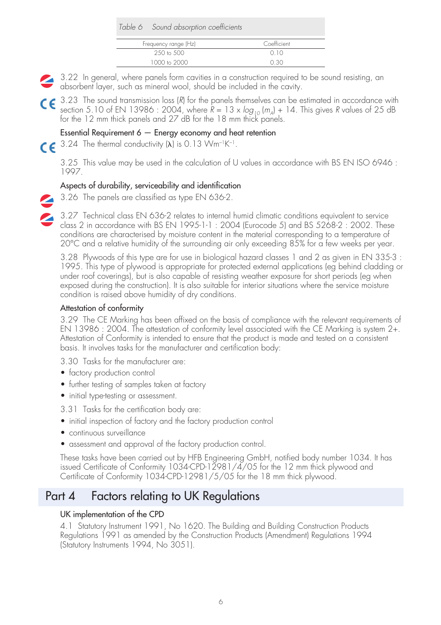| Table 6 Sound absorption coefficients |             |  |
|---------------------------------------|-------------|--|
| Frequency range (Hz)                  | Coefficient |  |
| 250 to 500                            | 010         |  |
| 1000 to 2000                          | 0.30        |  |

- 3.22 In general, where panels form cavities in a construction required to be sound resisting, an absorbent layer, such as mineral wool, should be included in the cavity.
- C E 3.23 The sound transmission loss (R) for the panels themselves can be estimated in accordance with section 5.10 of EN 13986 : 2004, where  $R = 13 \times \log_{10} (m_A) + 14$ . This gives R values of 25 dB for the 12 mm thick panels and 27 dB for the 18 mm thick panels.

#### Essential Requirement  $6$  – Energy economy and heat retention

 $\epsilon$  3.24 The thermal conductivity ( $\lambda$ ) is 0.13 Wm<sup>-1</sup>K<sup>-1</sup>.

3.25 This value may be used in the calculation of U values in accordance with BS EN ISO 6946 : 1997.

#### Aspects of durability, serviceability and identification

3.26 The panels are classified as type EN 636-2.

3.27 Technical class EN 636-2 relates to internal humid climatic conditions equivalent to service class 2 in accordance with BS EN 1995-1-1 : 2004 (Eurocode 5) and BS 5268-2 : 2002. These conditions are characterised by moisture content in the material corresponding to a temperature of 20°C and a relative humidity of the surrounding air only exceeding 85% for a few weeks per year.

3.28 Plywoods of this type are for use in biological hazard classes 1 and 2 as given in EN 335-3 : 1995. This type of plywood is appropriate for protected external applications (eg behind cladding or under roof coverings), but is also capable of resisting weather exposure for short periods (eg when exposed during the construction). It is also suitable for interior situations where the service moisture condition is raised above humidity of dry conditions.

#### Attestation of conformity

3.29 The CE Marking has been affixed on the basis of compliance with the relevant requirements of EN 13986 : 2004. The attestation of conformity level associated with the CE Marking is system 2+. Attestation of Conformity is intended to ensure that the product is made and tested on a consistent basis. It involves tasks for the manufacturer and certification body:

- 3.30 Tasks for the manufacturer are:
- factory production control
- further testing of samples taken at factory
- initial type-testing or assessment.

3.31 Tasks for the certification body are:

- initial inspection of factory and the factory production control
- continuous surveillance
- assessment and approval of the factory production control.

These tasks have been carried out by HFB Engineering GmbH, notified body number 1034. It has issued Certificate of Conformity  $1034$ -CPD-12981/4/05 for the 12 mm thick plywood and Certificate of Conformity 1034-CPD-12981/5/05 for the 18 mm thick plywood.

### Part 4 Factors relating to UK Regulations

#### UK implementation of the CPD

4.1 Statutory Instrument 1991, No 1620. The Building and Building Construction Products Regulations 1991 as amended by the Construction Products (Amendment) Regulations 1994 (Statutory Instruments 1994, No 3051).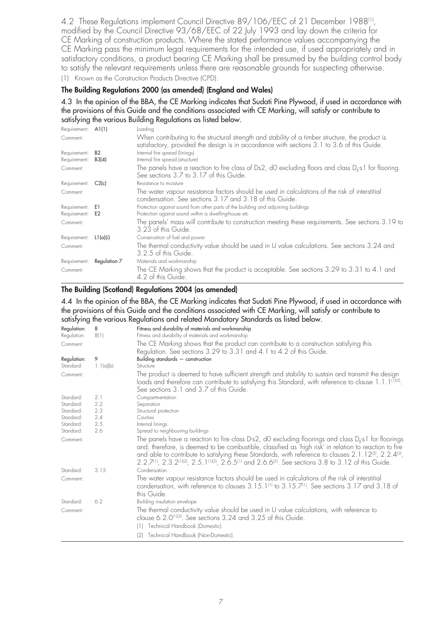4.2 These Regulations implement Council Directive 89/106/EEC of 21 December 1988<sup>(1)</sup>, modified by the Council Directive 93/68/EEC of 22 July 1993 and lay down the criteria for CE Marking of construction products. Where the stated performance values accompanying the CE Marking pass the minimum legal requirements for the intended use, if used appropriately and in satisfactory conditions, a product bearing CE Marking shall be presumed by the building control body to satisfy the relevant requirements unless there are reasonable grounds for suspecting otherwise. (1) Known as the Construction Products Directive (CPD).

#### **The Building Regulations 2000 (as amended) (England and Wales)**

4.3 In the opinion of the BBA, the CE Marking indicates that Sudati Pine Plywood, if used in accordance with the provisions of this Guide and the conditions associated with CE Marking, will satisfy or contribute to satisfying the various Building Regulations as listed below.

| Requirement: A1(1) |              | Loading                                                                                                                                                                                        |
|--------------------|--------------|------------------------------------------------------------------------------------------------------------------------------------------------------------------------------------------------|
| Comment:           |              | When contributing to the structural strength and stability of a timber structure, the product is<br>satisfactory, provided the design is in accordance with sections 3.1 to 3.6 of this Guide. |
| Requirement:       | <b>B2</b>    | Internal fire spread (linings)                                                                                                                                                                 |
| Requirement:       | B3(4)        | Internal fire spread (structure)                                                                                                                                                               |
| Comment:           |              | The panels have a reaction to fire class of Ds2, dO excluding floors and class $D_{ii}$ s1 for flooring.<br>See sections 3.7 to 3.17 of this Guide.                                            |
| Requirement: C2(c) |              | Resistance to moisture                                                                                                                                                                         |
| Comment:           |              | The water vapour resistance factors should be used in calculations of the risk of interstitial<br>condensation. See sections 3.17 and 3.18 of this Guide.                                      |
| Requirement:       | E1           | Protection against sound from other parts of the building and adjoining buildings                                                                                                              |
| Requirement:       | E2           | Protection against sound within a dwelling-house etc                                                                                                                                           |
| Comment:           |              | The panels' mass will contribute to construction meeting these requirements. See sections 3.19 to<br>3.23 of this Guide.                                                                       |
| Requirement:       | L1 $(a)(i)$  | Conservation of fuel and power                                                                                                                                                                 |
| Comment:           |              | The thermal conductivity value should be used in U value calculations. See sections 3.24 and<br>3.2.5 of this Guide.                                                                           |
| Requirement:       | Regulation 7 | Materials and workmanship                                                                                                                                                                      |
| Comment:           |              | The CE Marking shows that the product is acceptable. See sections 3.29 to 3.31 to 4.1 and<br>4.2 of this Guide.                                                                                |

#### **The Building (Scotland) Regulations 2004 (as amended)**

4.4 In the opinion of the BBA, the CE Marking indicates that Sudati Pine Plywood, if used in accordance with the provisions of this Guide and the conditions associated with CE Marking, will satisfy or contribute to satisfying the various Regulations and related Mandatory Standards as listed below.

| Regulation:              | 8              | Fitness and durability of materials and workmanship                                                                                                                                                                                                                                                                                                                                                                                                                             |
|--------------------------|----------------|---------------------------------------------------------------------------------------------------------------------------------------------------------------------------------------------------------------------------------------------------------------------------------------------------------------------------------------------------------------------------------------------------------------------------------------------------------------------------------|
| Regulation:              | 8(1)           | Fitness and durability of materials and workmanship                                                                                                                                                                                                                                                                                                                                                                                                                             |
| Comment:                 |                | The CE Marking shows that the product can contribute to a construction satisfying this<br>Regulation. See sections 3.29 to 3.31 and 4.1 to 4.2 of this Guide.                                                                                                                                                                                                                                                                                                                   |
| Regulation:<br>Standard: | 9<br>1.1(a)(b) | Building standards $-$ construction<br>Structure                                                                                                                                                                                                                                                                                                                                                                                                                                |
| Comment:                 |                | The product is deemed to have sufficient strength and stability to sustain and transmit the design<br>loads and therefore can contribute to satisfying this Standard, with reference to clause 1.1.1(1)(2).<br>See sections 3.1 and 3.7 of this Guide.                                                                                                                                                                                                                          |
| Standard:                | 2.1            | Compartmentation                                                                                                                                                                                                                                                                                                                                                                                                                                                                |
| Standard:                | 2.2            | Separation                                                                                                                                                                                                                                                                                                                                                                                                                                                                      |
| Standard:                | 2.3            | Structural protection                                                                                                                                                                                                                                                                                                                                                                                                                                                           |
| Standard:                | 2.4            | Cavities                                                                                                                                                                                                                                                                                                                                                                                                                                                                        |
| Standard:                | 2.5            | Internal linings                                                                                                                                                                                                                                                                                                                                                                                                                                                                |
| Standard:                | 2.6            | Spread to neighbouring buildings                                                                                                                                                                                                                                                                                                                                                                                                                                                |
| Comment:                 |                | The panels have a reaction to fire class D-s2, d0 excluding floorings and class $D_{\rm fl}$ -s1 for floorings<br>and, therefore, is deemed to be combustible, classified as 'high risk' in relation to reaction to fire<br>and able to contribute to satisfying these Standards, with reference to clauses $2.1.12^{2/2}$ , $2.2.4^{2/2}$ ,<br>$2.2.7^{(1)}$ , $2.3.2^{(1)(2)}$ , $2.5.1^{(1)(2)}$ , $2.6.5^{(1)}$ and $2.6.6^{(2)}$ . See sections 3.8 to 3.12 of this Guide. |
| Standard:                | 3.15           | Condensation                                                                                                                                                                                                                                                                                                                                                                                                                                                                    |
| Comment:                 |                | The water vapour resistance factors should be used in calculations of the risk of interstitial<br>condensation, with reference to clauses 3.15.1 <sup>(1)</sup> to 3.15.7 <sup>(1)</sup> . See sections 3.17 and 3.18 of<br>this Guide.                                                                                                                                                                                                                                         |
| Standard:                | 6.2            | Building insulation envelope                                                                                                                                                                                                                                                                                                                                                                                                                                                    |
| Comment:                 |                | The thermal conductivity value should be used in U value calculations, with reference to<br>clause 6.2.0 <sup>(1)(2)</sup> . See sections 3.24 and 3.25 of this Guide.                                                                                                                                                                                                                                                                                                          |
|                          |                | Technical Handbook (Domestic).<br>(1)                                                                                                                                                                                                                                                                                                                                                                                                                                           |
|                          |                | Technical Handbook (Non-Domestic).<br>(2)                                                                                                                                                                                                                                                                                                                                                                                                                                       |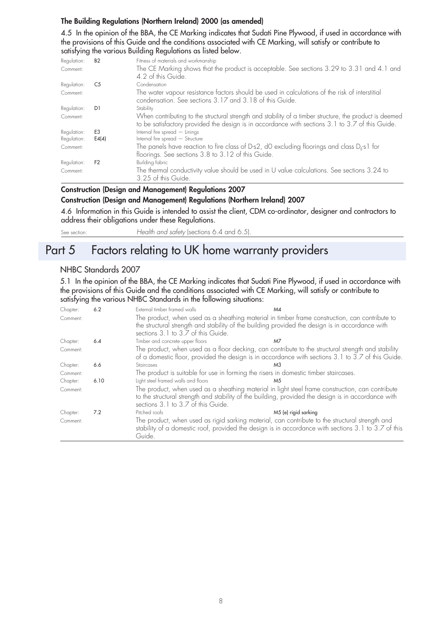#### **The Building Regulations (Northern Ireland) 2000 (as amended)**

4.5 In the opinion of the BBA, the CE Marking indicates that Sudati Pine Plywood, if used in accordance with the provisions of this Guide and the conditions associated with CE Marking, will satisfy or contribute to satisfying the various Building Regulations as listed below.

| Regulation: | <b>B2</b>      | Fitness of materials and workmanship                                                                                                                                                                       |
|-------------|----------------|------------------------------------------------------------------------------------------------------------------------------------------------------------------------------------------------------------|
| Comment:    |                | The CE Marking shows that the product is acceptable. See sections 3.29 to 3.31 and 4.1 and<br>4.2 of this Guide.                                                                                           |
| Regulation: | C5             | Condensation                                                                                                                                                                                               |
| Comment:    |                | The water vapour resistance factors should be used in calculations of the risk of interstitial<br>condensation. See sections 3.17 and 3.18 of this Guide.                                                  |
| Regulation: | D1             | Stability                                                                                                                                                                                                  |
| Comment:    |                | When contributing to the structural strength and stability of a timber structure, the product is deemed<br>to be satisfactory provided the design is in accordance with sections 3.1 to 3.7 of this Guide. |
| Regulation: | F <sub>3</sub> | Internal fire spread - Linings                                                                                                                                                                             |
| Regulation: | E4(4)          | Internal fire spread - Structure                                                                                                                                                                           |
| Comment:    |                | The panels have reaction to fire class of D-s2, dO excluding floorings and class $D_{\mu}$ -s1 for<br>floorings. See sections 3.8 to 3.12 of this Guide.                                                   |
| Regulation: | F <sub>2</sub> | <b>Building fabric</b>                                                                                                                                                                                     |
| Comment:    |                | The thermal conductivity value should be used in U value calculations. See sections 3.24 to<br>3.25 of this Guide.                                                                                         |

#### **Construction (Design and Management) Regulations 2007 Construction (Design and Management) Regulations (Northern Ireland) 2007**

4.6 Information in this Guide is intended to assist the client, CDM co-ordinator, designer and contractors to address their obligations under these Regulations.

See section: Health and safety (sections 6.4 and 6.5).

## Part 5 Factors relating to UK home warranty providers

#### NHBC Standards 2007

5.1 In the opinion of the BBA, the CE Marking indicates that Sudati Pine Plywood, if used in accordance with the provisions of this Guide and the conditions associated with CE Marking, will satisfy or contribute to satisfying the various NHBC Standards in the following situations:

| Chapter: | 6.2  | External timber framed walls                                                                                                                                                                                                                  | M4                                                                                                  |
|----------|------|-----------------------------------------------------------------------------------------------------------------------------------------------------------------------------------------------------------------------------------------------|-----------------------------------------------------------------------------------------------------|
| Comment: |      | The product, when used as a sheathing material in timber frame construction, can contribute to<br>the structural strength and stability of the building provided the design is in accordance with<br>sections 3.1 to 3.7 of this Guide.       |                                                                                                     |
| Chapter: | 6.4  | Timber and concrete upper floors                                                                                                                                                                                                              | M7                                                                                                  |
| Comment: |      | The product, when used as a floor decking, can contribute to the structural strength and stability                                                                                                                                            | of a domestic floor, provided the design is in accordance with sections 3.1 to 3.7 of this Guide.   |
| Chapter: | 6.6  | Staircases                                                                                                                                                                                                                                    | M3                                                                                                  |
| Comment: |      | The product is suitable for use in forming the risers in domestic timber staircases.                                                                                                                                                          |                                                                                                     |
| Chapter: | 6.10 | Light steel framed walls and floors                                                                                                                                                                                                           | M.5                                                                                                 |
| Comment: |      | The product, when used as a sheathing material in light steel frame construction, can contribute<br>to the structural strength and stability of the building, provided the design is in accordance with<br>sections 3.1 to 3.7 of this Guide. |                                                                                                     |
| Chapter: | 7.2  | Pitched roofs                                                                                                                                                                                                                                 | M5 (e) rigid sarking                                                                                |
| Comment: |      | The product, when used as rigid sarking material, can contribute to the structural strength and<br>Guide.                                                                                                                                     | stability of a domestic roof, provided the design is in accordance with sections 3.1 to 3.7 of this |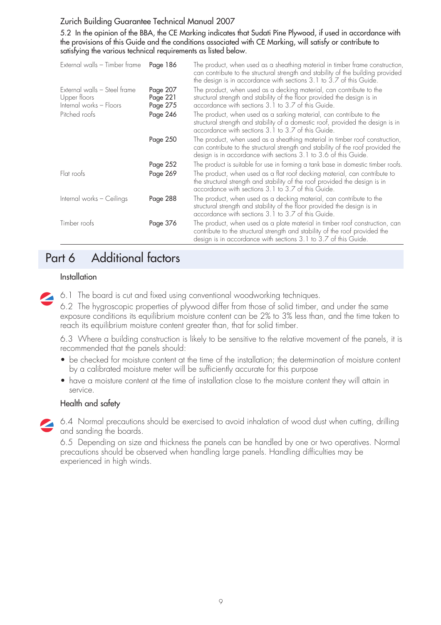#### Zurich Building Guarantee Technical Manual 2007

5.2 In the opinion of the BBA, the CE Marking indicates that Sudati Pine Plywood, if used in accordance with the provisions of this Guide and the conditions associated with CE Marking, will satisfy or contribute to satisfying the various technical requirements as listed below.

| External walls - Timber frame                                           | Page 186                         | The product, when used as a sheathing material in timber frame construction,<br>can contribute to the structural strength and stability of the building provided<br>the design is in accordance with sections 3.1 to 3.7 of this Guide. |
|-------------------------------------------------------------------------|----------------------------------|-----------------------------------------------------------------------------------------------------------------------------------------------------------------------------------------------------------------------------------------|
| External walls - Steel frame<br>Upper floors<br>Internal works - Floors | Page 207<br>Page 221<br>Page 275 | The product, when used as a decking material, can contribute to the<br>structural strength and stability of the floor provided the design is in<br>accordance with sections 3.1 to 3.7 of this Guide.                                   |
| Pitched roofs                                                           | Page 246                         | The product, when used as a sarking material, can contribute to the<br>structural strength and stability of a domestic roof, provided the design is in<br>accordance with sections 3.1 to 3.7 of this Guide.                            |
|                                                                         | Page 250                         | The product, when used as a sheathing material in timber roof construction,<br>can contribute to the structural strength and stability of the roof provided the<br>design is in accordance with sections 3.1 to 3.6 of this Guide.      |
|                                                                         | Page 252                         | The product is suitable for use in forming a tank base in domestic timber roofs.                                                                                                                                                        |
| Flat roofs                                                              | Page 269                         | The product, when used as a flat roof decking material, can contribute to<br>the structural strength and stability of the roof provided the design is in<br>accordance with sections 3.1 to 3.7 of this Guide.                          |
| Internal works - Ceilings                                               | Page 288                         | The product, when used as a decking material, can contribute to the<br>structural strength and stability of the floor provided the design is in<br>accordance with sections 3.1 to 3.7 of this Guide.                                   |
| Timber roofs                                                            | Page 376                         | The product, when used as a plate material in timber roof construction, can<br>contribute to the structural strength and stability of the roof provided the<br>design is in accordance with sections 3.1 to 3.7 of this Guide.          |

## Part 6 Additional factors

#### **Installation**

6.1 The board is cut and fixed using conventional woodworking techniques.

6.2 The hygroscopic properties of plywood differ from those of solid timber, and under the same exposure conditions its equilibrium moisture content can be 2% to 3% less than, and the time taken to reach its equilibrium moisture content greater than, that for solid timber.

6.3 Where a building construction is likely to be sensitive to the relative movement of the panels, it is recommended that the panels should:

- be checked for moisture content at the time of the installation; the determination of moisture content by a calibrated moisture meter will be sufficiently accurate for this purpose
- have a moisture content at the time of installation close to the moisture content they will attain in service.

#### Health and safety

6.4 Normal precautions should be exercised to avoid inhalation of wood dust when cutting, drilling and sanding the boards.

6.5 Depending on size and thickness the panels can be handled by one or two operatives. Normal precautions should be observed when handling large panels. Handling difficulties may be experienced in high winds.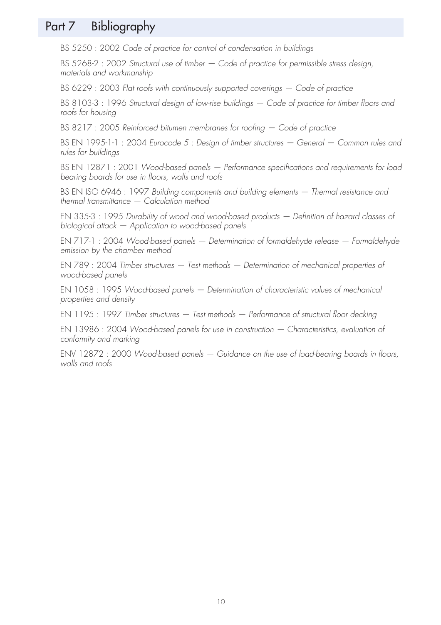## Part 7 Bibliography

BS 5250 : 2002 Code of practice for control of condensation in buildings

BS 5268-2 : 2002 Structural use of timber – Code of practice for permissible stress design, materials and workmanship

BS 6229 : 2003 Flat roofs with continuously supported coverings — Code of practice

BS 8103-3: 1996 Structural design of low-rise buildings – Code of practice for timber floors and roofs for housing

BS 8217 : 2005 Reinforced bitumen membranes for roofing — Code of practice

BS EN 1995-1-1 : 2004 Eurocode 5 : Design of timber structures — General — Common rules and rules for buildings

BS EN 12871 : 2001 Wood-based panels - Performance specifications and requirements for load bearing boards for use in floors, walls and roofs

BS EN ISO 6946 : 1997 Building components and building elements - Thermal resistance and  $thermal$  transmittance  $-$  Calculation method

EN 335-3 : 1995 Durability of wood and wood-based products — Definition of hazard classes of biological attack — Application to wood-based panels

EN 717-1 : 2004 Wood-based panels — Determination of formaldehyde release — Formaldehyde emission by the chamber method

EN 789 : 2004 Timber structures — Test methods — Determination of mechanical properties of wood-based panels

EN 1058 : 1995 Wood-based panels — Determination of characteristic values of mechanical properties and density

EN 1195 : 1997 Timber structures — Test methods — Performance of structural floor decking

EN 13986 : 2004 Wood-based panels for use in construction — Characteristics, evaluation of conformity and marking

ENV 12872 : 2000 Wood-based panels — Guidance on the use of load-bearing boards in floors, walls and roofs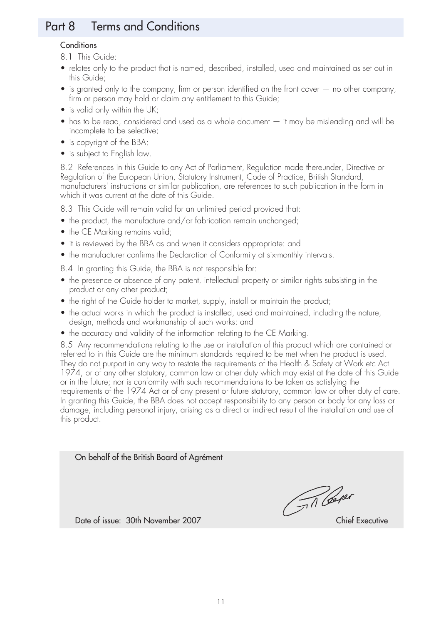## Part 8 Terms and Conditions

#### **Conditions**

8.1 This Guide:

- relates only to the product that is named, described, installed, used and maintained as set out in this Guide;
- is granted only to the company, firm or person identified on the front cover no other company, firm or person may hold or claim any entitlement to this Guide;
- is valid only within the UK;
- has to be read, considered and used as a whole document it may be misleading and will be incomplete to be selective;
- is copyright of the BBA;
- is subject to English law.

8.2 References in this Guide to any Act of Parliament, Regulation made thereunder, Directive or Regulation of the European Union, Statutory Instrument, Code of Practice, British Standard, manufacturers' instructions or similar publication, are references to such publication in the form in which it was current at the date of this Guide.

8.3 This Guide will remain valid for an unlimited period provided that:

- the product, the manufacture and/or fabrication remain unchanged;
- the CE Marking remains valid;
- it is reviewed by the BBA as and when it considers appropriate: and
- the manufacturer confirms the Declaration of Conformity at six-monthly intervals.
- 8.4 In granting this Guide, the BBA is not responsible for:
- the presence or absence of any patent, intellectual property or similar rights subsisting in the product or any other product;
- the right of the Guide holder to market, supply, install or maintain the product;
- the actual works in which the product is installed, used and maintained, including the nature, design, methods and workmanship of such works: and
- the accuracy and validity of the information relating to the CE Marking.

8.5 Any recommendations relating to the use or installation of this product which are contained or referred to in this Guide are the minimum standards required to be met when the product is used. They do not purport in any way to restate the requirements of the Health & Safety at Work etc Act 1974, or of any other statutory, common law or other duty which may exist at the date of this Guide or in the future; nor is conformity with such recommendations to be taken as satisfying the requirements of the 1974 Act or of any present or future statutory, common law or other duty of care. In granting this Guide, the BBA does not accept responsibility to any person or body for any loss or damage, including personal injury, arising as a direct or indirect result of the installation and use of this product.

On behalf of the British Board of Agrément

A Cener

Date of issue: 30th November 2007 Chief Executive